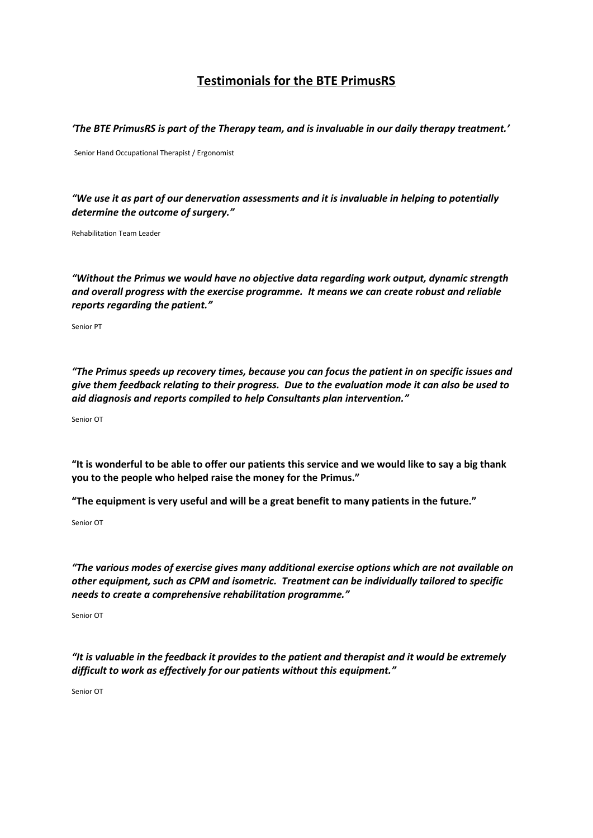## **Testimonials for the BTE PrimusRS**

*'The BTE PrimusRS is part of the Therapy team, and is invaluable in our daily therapy treatment.'*

Senior Hand Occupational Therapist / Ergonomist

*"We use it as part of our denervation assessments and it is invaluable in helping to potentially determine the outcome of surgery."*

Rehabilitation Team Leader

*"Without the Primus we would have no objective data regarding work output, dynamic strength and overall progress with the exercise programme. It means we can create robust and reliable reports regarding the patient."*

Senior PT

*"The Primus speeds up recovery times, because you can focus the patient in on specific issues and give them feedback relating to their progress. Due to the evaluation mode it can also be used to aid diagnosis and reports compiled to help Consultants plan intervention."*

Senior OT

**"It is wonderful to be able to offer our patients this service and we would like to say a big thank you to the people who helped raise the money for the Primus."**

**"The equipment is very useful and will be a great benefit to many patients in the future."** 

Senior OT

*"The various modes of exercise gives many additional exercise options which are not available on other equipment, such as CPM and isometric. Treatment can be individually tailored to specific needs to create a comprehensive rehabilitation programme."*

Senior OT

*"It is valuable in the feedback it provides to the patient and therapist and it would be extremely difficult to work as effectively for our patients without this equipment."*

Senior OT